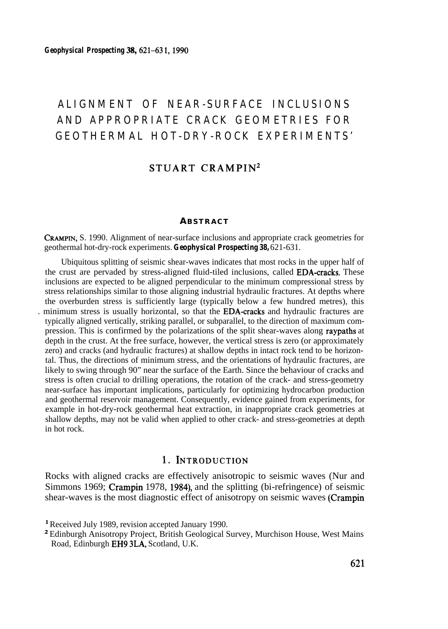# **ALIGNMENT OF NEAR-SURFACE INCLUSIONS AND APPROPRIATE CRACK GEOMETRIES FOR GEOTHERMAL HOT-DRY-ROCK EXPERIMENTS'**

# **STUART CRAMPIN**

#### **ABSTRAC T**

**CRAMPIN,** S. 1990. Alignment of near-surface inclusions and appropriate crack geometries for geothermal hot-dry-rock experiments. *Geophysical Prospecting 38,* 621-631.

Ubiquitous splitting of seismic shear-waves indicates that most rocks in the upper half of the crust are pervaded by stress-aligned fluid-tiled inclusions, called EDA-cracks. These inclusions are expected to be aligned perpendicular to the minimum compressional stress by stress relationships similar to those aligning industrial hydraulic fractures. At depths where the overburden stress is sufficiently large (typically below a few hundred metres), this minimum stress is usually horizontal, so that the **EDA-cracks** and hydraulic fractures are typically aligned vertically, striking parallel, or subparallel, to the direction of maximum compression. This is confirmed by the polarizations of the split shear-waves along raypaths at depth in the crust. At the free surface, however, the vertical stress is zero (or approximately zero) and cracks (and hydraulic fractures) at shallow depths in intact rock tend to be horizontal. Thus, the directions of minimum stress, and the orientations of hydraulic fractures, are likely to swing through 90" near the surface of the Earth. Since the behaviour of cracks and stress is often crucial to drilling operations, the rotation of the crack- and stress-geometry near-surface has important implications, particularly for optimizing hydrocarbon production and geothermal reservoir management. Consequently, evidence gained from experiments, for example in hot-dry-rock geothermal heat extraction, in inappropriate crack geometries at shallow depths, may not be valid when applied to other crack- and stress-geometries at depth in hot rock.

# **1. INTRODUCTION**

Rocks with aligned cracks are effectively anisotropic to seismic waves (Nur and Simmons 1969; Crampin 1978, 1984), and the splitting (bi-refringence) of seismic shear-waves is the most diagnostic effect of anisotropy on seismic waves (Crampin

<sup>&#</sup>x27; Received July 1989, revision accepted January 1990.

<sup>&#</sup>x27; Edinburgh Anisotropy Project, British Geological Survey, Murchison House, West Mains Road, Edinburgh EH9 3LA, Scotland, U.K.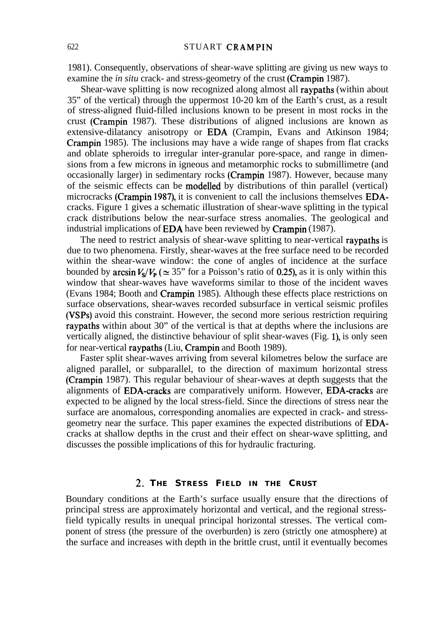1981). Consequently, observations of shear-wave splitting are giving us new ways to examine the *in situ* crack- and stress-geometry of the crust (Crampin 1987).

Shear-wave splitting is now recognized along almost all raypaths (within about 35" of the vertical) through the uppermost 10-20 km of the Earth's crust, as a result of stress-aligned fluid-filled inclusions known to be present in most rocks in the crust (Crampin 1987). These distributions of aligned inclusions are known as extensive-dilatancy anisotropy or EDA (Crampin, Evans and Atkinson 1984; Crampin 1985). The inclusions may have a wide range of shapes from flat cracks and oblate spheroids to irregular inter-granular pore-space, and range in dimensions from a few microns in igneous and metamorphic rocks to submillimetre (and occasionally larger) in sedimentary rocks (Crampin 1987). However, because many of the seismic effects can be modelled by distributions of thin parallel (vertical) microcracks (Crampin 1987), it is convenient to call the inclusions themselves EDAcracks. Figure 1 gives a schematic illustration of shear-wave splitting in the typical crack distributions below the near-surface stress anomalies. The geological and industrial implications of EDA have been reviewed by Crampin (1987).

The need to restrict analysis of shear-wave splitting to near-vertical raypaths is due to two phenomena. Firstly, shear-waves at the free surface need to be recorded within the shear-wave window: the cone of angles of incidence at the surface bounded by arcsin  $V_s/V_p$  ( $\simeq$  35" for a Poisson's ratio of 0.25), as it is only within this window that shear-waves have waveforms similar to those of the incident waves (Evans 1984; Booth and Crampin 1985). Although these effects place restrictions on surface observations, shear-waves recorded subsurface in vertical seismic profiles (VSPs) avoid this constraint. However, the second more serious restriction requiring raypaths within about 30" of the vertical is that at depths where the inclusions are vertically aligned, the distinctive behaviour of split shear-waves (Fig. l), is only seen for near-vertical raypaths (Liu, Crampin and Booth 1989).

Faster split shear-waves arriving from several kilometres below the surface are aligned parallel, or subparallel, to the direction of maximum horizontal stress (Crampin 1987). This regular behaviour of shear-waves at depth suggests that the alignments of EDA-cracks are comparatively uniform. However, EDA-cracks are expected to be aligned by the local stress-field. Since the directions of stress near the surface are anomalous, corresponding anomalies are expected in crack- and stressgeometry near the surface. This paper examines the expected distributions of EDAcracks at shallow depths in the crust and their effect on shear-wave splitting, and discusses the possible implications of this for hydraulic fracturing.

## **2. THE STRESS FIELD IN THE CRUST**

Boundary conditions at the Earth's surface usually ensure that the directions of principal stress are approximately horizontal and vertical, and the regional stressfield typically results in unequal principal horizontal stresses. The vertical component of stress (the pressure of the overburden) is zero (strictly one atmosphere) at the surface and increases with depth in the brittle crust, until it eventually becomes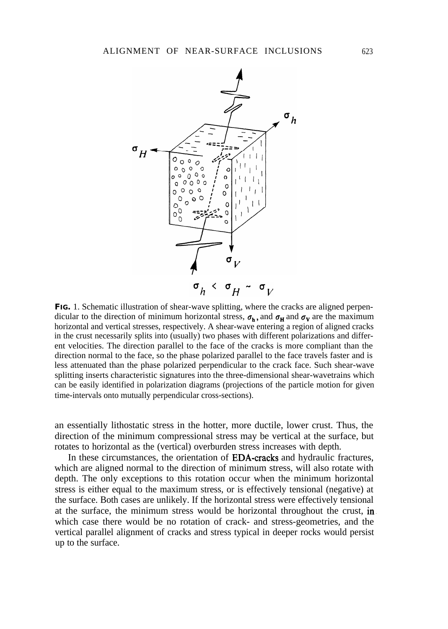

**FIG.** 1. Schematic illustration of shear-wave splitting, where the cracks are aligned perpendicular to the direction of minimum horizontal stress,  $\sigma_h$ , and  $\sigma_H$  and  $\sigma_V$  are the maximum horizontal and vertical stresses, respectively. A shear-wave entering a region of aligned cracks in the crust necessarily splits into (usually) two phases with different polarizations and different velocities. The direction parallel to the face of the cracks is more compliant than the direction normal to the face, so the phase polarized parallel to the face travels faster and is less attenuated than the phase polarized perpendicular to the crack face. Such shear-wave splitting inserts characteristic signatures into the three-dimensional shear-wavetrains which can be easily identified in polarization diagrams (projections of the particle motion for given time-intervals onto mutually perpendicular cross-sections).

an essentially lithostatic stress in the hotter, more ductile, lower crust. Thus, the direction of the minimum compressional stress may be vertical at the surface, but rotates to horizontal as the (vertical) overburden stress increases with depth.

In these circumstances, the orientation of EDA-cracks and hydraulic fractures, which are aligned normal to the direction of minimum stress, will also rotate with depth. The only exceptions to this rotation occur when the minimum horizontal stress is either equal to the maximum stress, or is effectively tensional (negative) at the surface. Both cases are unlikely. If the horizontal stress were effectively tensional at the surface, the minimum stress would be horizontal throughout the crust, inwhich case there would be no rotation of crack- and stress-geometries, and the vertical parallel alignment of cracks and stress typical in deeper rocks would persist up to the surface.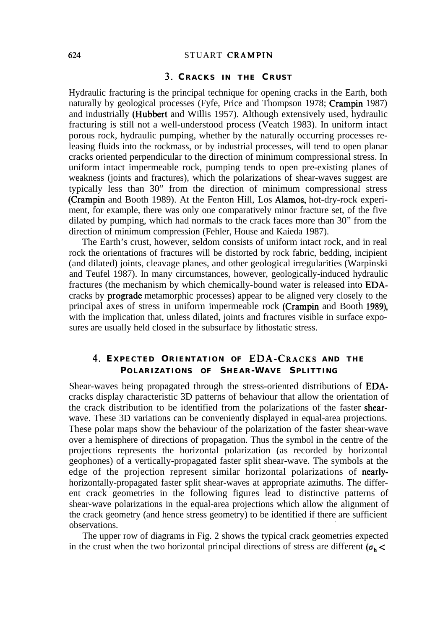### STUART CRAMPIN

## 3. **CRACKS IN THE CRUST**

Hydraulic fracturing is the principal technique for opening cracks in the Earth, both naturally by geological processes (Fyfe, Price and Thompson 1978; Crampin 1987) and industrially (Hubbert and Willis 1957). Although extensively used, hydraulic fracturing is still not a well-understood process (Veatch 1983). In uniform intact porous rock, hydraulic pumping, whether by the naturally occurring processes releasing fluids into the rockmass, or by industrial processes, will tend to open planar cracks oriented perpendicular to the direction of minimum compressional stress. In uniform intact impermeable rock, pumping tends to open pre-existing planes of weakness (joints and fractures), which the polarizations of shear-waves suggest are typically less than 30" from the direction of minimum compressional stress (Crampin and Booth 1989). At the Fenton Hill, Los Alamos, hot-dry-rock experiment, for example, there was only one comparatively minor fracture set, of the five dilated by pumping, which had normals to the crack faces more than 30" from the direction of minimum compression (Fehler, House and Kaieda 1987).

The Earth's crust, however, seldom consists of uniform intact rock, and in real rock the orientations of fractures will be distorted by rock fabric, bedding, incipient (and dilated) joints, cleavage planes, and other geological irregularities (Warpinski and Teufel 1987). In many circumstances, however, geologically-induced hydraulic fractures (the mechanism by which chemically-bound water is released into EDAcracks by prograde metamorphic processes) appear to be aligned very closely to the principal axes of stress in uniform impermeable rock (Crampin and Booth 1989), with the implication that, unless dilated, joints and fractures visible in surface exposures are usually held closed in the subsurface by lithostatic stress.

# 4. **EXPECTED ORIENTATION OF EDA-CRACKS A ND THE POLARIZATIONS OF SHEAR-W A VE SPLITTING**

Shear-waves being propagated through the stress-oriented distributions of EDAcracks display characteristic 3D patterns of behaviour that allow the orientation of the crack distribution to be identified from the polarizations of the faster shearwave. These 3D variations can be conveniently displayed in equal-area projections. These polar maps show the behaviour of the polarization of the faster shear-wave over a hemisphere of directions of propagation. Thus the symbol in the centre of the projections represents the horizontal polarization (as recorded by horizontal geophones) of a vertically-propagated faster split shear-wave. The symbols at the edge of the projection represent similar horizontal polarizations of nearlyhorizontally-propagated faster split shear-waves at appropriate azimuths. The different crack geometries in the following figures lead to distinctive patterns of shear-wave polarizations in the equal-area projections which allow the alignment of the crack geometry (and hence stress geometry) to be identified if there are sufficient observations. .

The upper row of diagrams in Fig. 2 shows the typical crack geometries expected in the crust when the two horizontal principal directions of stress are different ( $\sigma_h$  <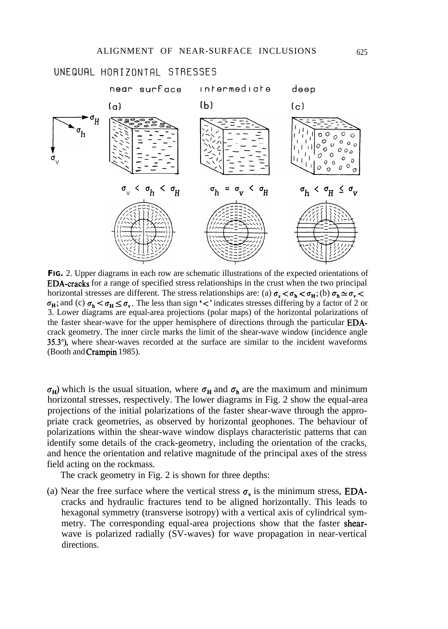

**FIG.** 2. Upper diagrams in each row are schematic illustrations of the expected orientations of EDA-cracks for a range of specified stress relationships in the crust when the two principal horizontal stresses are different. The stress relationships are: (a)  $\sigma_v < \sigma_h < \sigma_H$ ; (b)  $\sigma_h \simeq \sigma_v <$  $\sigma_H$ ; and (c)  $\sigma_h < \sigma_H \leq \sigma_v$ . The less than sign ' < ' indicates stresses differing by a factor of 2 or 3. Lower diagrams are equal-area projections (polar maps) of the horizontal polarizations of the faster shear-wave for the upper hemisphere of directions through the particular EDAcrack geometry. The inner circle marks the limit of the shear-wave window (incidence angle 35.3"), where shear-waves recorded at the surface are similar to the incident waveforms (Booth and Crampin 1985).

 $\sigma_H$ ) which is the usual situation, where  $\sigma_H$  and  $\sigma_h$  are the maximum and minimum horizontal stresses, respectively. The lower diagrams in Fig. 2 show the equal-area projections of the initial polarizations of the faster shear-wave through the appropriate crack geometries, as observed by horizontal geophones. The behaviour of polarizations within the shear-wave window displays characteristic patterns that can identify some details of the crack-geometry, including the orientation of the cracks, and hence the orientation and relative magnitude of the principal axes of the stress field acting on the rockmass.

The crack geometry in Fig. 2 is shown for three depths:

(a) Near the free surface where the vertical stress  $\sigma_v$  is the minimum stress, EDAcracks and hydraulic fractures tend to be aligned horizontally. This leads to hexagonal symmetry (transverse isotropy) with a vertical axis of cylindrical symmetry. The corresponding equal-area projections show that the faster shearwave is polarized radially (SV-waves) for wave propagation in near-vertical directions.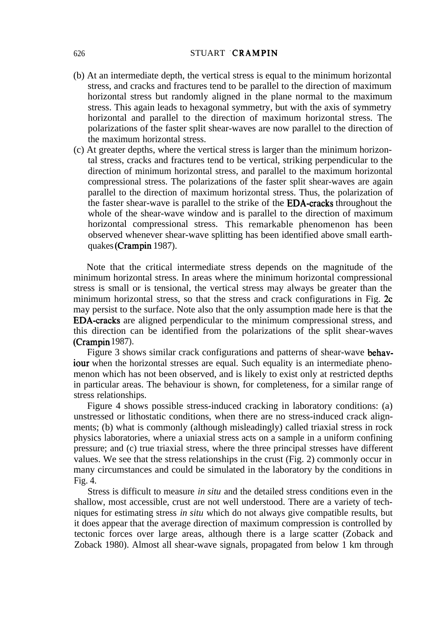- (b) At an intermediate depth, the vertical stress is equal to the minimum horizontal stress, and cracks and fractures tend to be parallel to the direction of maximum horizontal stress but randomly aligned in the plane normal to the maximum stress. This again leads to hexagonal symmetry, but with the axis of symmetry horizontal and parallel to the direction of maximum horizontal stress. The polarizations of the faster split shear-waves are now parallel to the direction of the maximum horizontal stress.
- (c) At greater depths, where the vertical stress is larger than the minimum horizontal stress, cracks and fractures tend to be vertical, striking perpendicular to the direction of minimum horizontal stress, and parallel to the maximum horizontal compressional stress. The polarizations of the faster split shear-waves are again parallel to the direction of maximum horizontal stress. Thus, the polarization of the faster shear-wave is parallel to the strike of the EDA-cracks throughout the whole of the shear-wave window and is parallel to the direction of maximum horizontal compressional stress. This remarkable phenomenon has been observed whenever shear-wave splitting has been identified above small earthquakes (Crampin 1987).

Note that the critical intermediate stress depends on the magnitude of the minimum horizontal stress. In areas where the minimum horizontal compressional stress is small or is tensional, the vertical stress may always be greater than the minimum horizontal stress, so that the stress and crack configurations in Fig. 2c may persist to the surface. Note also that the only assumption made here is that the EDA-cracks are aligned perpendicular to the minimum compressional stress, and this direction can be identified from the polarizations of the split shear-waves (Crampin 1987).

Figure 3 shows similar crack configurations and patterns of shear-wave behaviour when the horizontal stresses are equal. Such equality is an intermediate phenomenon which has not been observed, and is likely to exist only at restricted depths in particular areas. The behaviour is shown, for completeness, for a similar range of stress relationships.

Figure 4 shows possible stress-induced cracking in laboratory conditions: (a) unstressed or lithostatic conditions, when there are no stress-induced crack alignments; (b) what is commonly (although misleadingly) called triaxial stress in rock physics laboratories, where a uniaxial stress acts on a sample in a uniform confining pressure; and (c) true triaxial stress, where the three principal stresses have different values. We see that the stress relationships in the crust (Fig. 2) commonly occur in many circumstances and could be simulated in the laboratory by the conditions in Fig. 4.

Stress is difficult to measure *in situ* and the detailed stress conditions even in the shallow, most accessible, crust are not well understood. There are a variety of techniques for estimating stress *in situ* which do not always give compatible results, but it does appear that the average direction of maximum compression is controlled by tectonic forces over large areas, although there is a large scatter (Zoback and Zoback 1980). Almost all shear-wave signals, propagated from below 1 km through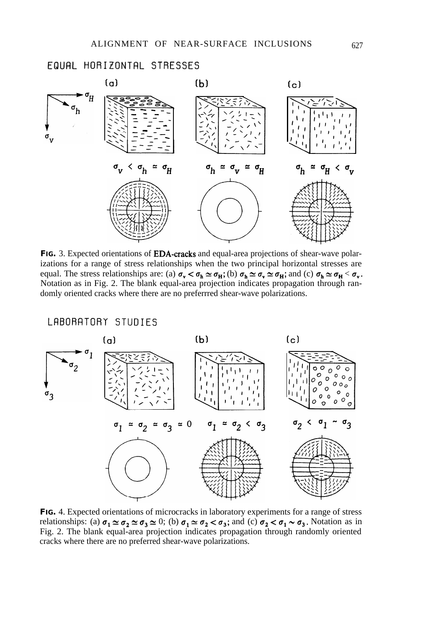**EQlJFlL HORIZONTAL STRESSES**



**FIG.** 3. Expected orientations of EDA-cracks and equal-area projections of shear-wave polarizations for a range of stress relationships when the two principal horizontal stresses are equal. The stress relationships are: (a)  $\sigma_{\mathbf{v}} < \sigma_{\mathbf{h}} \simeq \sigma_{\mathbf{H}}$ ; (b)  $\sigma_{\mathbf{h}} \simeq \sigma_{\mathbf{v}} \simeq \sigma_{\mathbf{H}}$ ; and (c)  $\sigma_{\mathbf{h}} \simeq \sigma_{\mathbf{H}} < \sigma_{\mathbf{v}}$ . Notation as in Fig. 2. The blank equal-area projection indicates propagation through randomly oriented cracks where there are no preferrred shear-wave polarizations.



**FIG.** 4. Expected orientations of microcracks in laboratory experiments for a range of stress relationships: (a)  $\sigma_1 \simeq \sigma_2 \simeq \sigma_3 \simeq 0$ ; (b)  $\sigma_1 \simeq \sigma_2 < \sigma_3$ ; and (c)  $\sigma_2 < \sigma_1 \sim \sigma_3$ . Notation as in Fig. 2. The blank equal-area projection indicates propagation through randomly oriented cracks where there are no preferred shear-wave polarizations.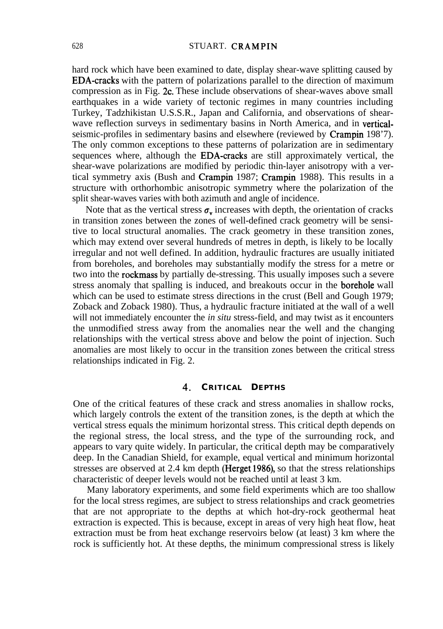hard rock which have been examined to date, display shear-wave splitting caused by EDA-cracks with the pattern of polarizations parallel to the direction of maximum compression as in Fig. 2c. These include observations of shear-waves above small earthquakes in a wide variety of tectonic regimes in many countries including Turkey, Tadzhikistan U.S.S.R., Japan and California, and observations of shearwave reflection surveys in sedimentary basins in North America, and in verticalseismic-profiles in sedimentary basins and elsewhere (reviewed by Crampin 198'7). The only common exceptions to these patterns of polarization are in sedimentary sequences where, although the EDA-cracks are still approximately vertical, the shear-wave polarizations are modified by periodic thin-layer anisotropy with a vertical symmetry axis (Bush and Crampin 1987; Crampin 1988). This results in a structure with orthorhombic anisotropic symmetry where the polarization of the split shear-waves varies with both azimuth and angle of incidence.

Note that as the vertical stress  $\sigma_{\rm v}$  increases with depth, the orientation of cracks in transition zones between the zones of well-defined crack geometry will be sensitive to local structural anomalies. The crack geometry in these transition zones, which may extend over several hundreds of metres in depth, is likely to be locally irregular and not well defined. In addition, hydraulic fractures are usually initiated from boreholes, and boreholes may substantially modify the stress for a metre or two into the rockmass by partially de-stressing. This usually imposes such a severe stress anomaly that spalling is induced, and breakouts occur in the borehole wall which can be used to estimate stress directions in the crust (Bell and Gough 1979; Zoback and Zoback 1980). Thus, a hydraulic fracture initiated at the wall of a well will not immediately encounter the *in situ* stress-field, and may twist as it encounters the unmodified stress away from the anomalies near the well and the changing relationships with the vertical stress above and below the point of injection. Such anomalies are most likely to occur in the transition zones between the critical stress relationships indicated in Fig. 2.

## **4. CRITICAL DEPTHS**

One of the critical features of these crack and stress anomalies in shallow rocks, which largely controls the extent of the transition zones, is the depth at which the vertical stress equals the minimum horizontal stress. This critical depth depends on the regional stress, the local stress, and the type of the surrounding rock, and appears to vary quite widely. In particular, the critical depth may be comparatively deep. In the Canadian Shield, for example, equal vertical and minimum horizontal stresses are observed at 2.4 km depth (Herget 1986), so that the stress relationships characteristic of deeper levels would not be reached until at least 3 km.

Many laboratory experiments, and some field experiments which are too shallow for the local stress regimes, are subject to stress relationships and crack geometries that are not appropriate to the depths at which hot-dry-rock geothermal heat extraction is expected. This is because, except in areas of very high heat flow, heat extraction must be from heat exchange reservoirs below (at least) 3 km where the rock is sufficiently hot. At these depths, the minimum compressional stress is likely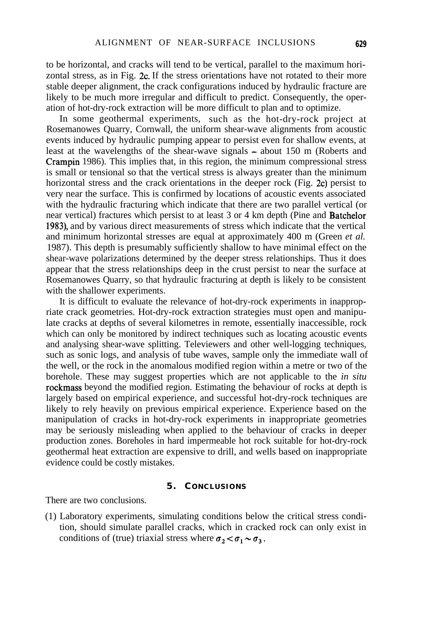to be horizontal, and cracks will tend to be vertical, parallel to the maximum horizontal stress, as in Fig. 2c. If the stress orientations have not rotated to their more stable deeper alignment, the crack configurations induced by hydraulic fracture are likely to be much more irregular and difficult to predict. Consequently, the operation of hot-dry-rock extraction will be more difficult to plan and to optimize.

In some geothermal experiments, such as the hot-dry-rock project at Rosemanowes Quarry, Cornwall, the uniform shear-wave alignments from acoustic events induced by hydraulic pumping appear to persist even for shallow events, at least at the wavelengths of the shear-wave signals - about 150 m (Roberts and Crampin 1986). This implies that, in this region, the minimum compressional stress is small or tensional so that the vertical stress is always greater than the minimum horizontal stress and the crack orientations in the deeper rock (Fig. 2c) persist to very near the surface. This is confirmed by locations of acoustic events associated with the hydraulic fracturing which indicate that there are two parallel vertical (or near vertical) fractures which persist to at least 3 or 4 km depth (Pine and Batchelor 1983), and by various direct measurements of stress which indicate that the vertical and minimum horizontal stresses are equal at approximately 400 m (Green *et al.* 1987). This depth is presumably sufficiently shallow to have minimal effect on the shear-wave polarizations determined by the deeper stress relationships. Thus it does appear that the stress relationships deep in the crust persist to near the surface at Rosemanowes Quarry, so that hydraulic fracturing at depth is likely to be consistent with the shallower experiments.

It is difficult to evaluate the relevance of hot-dry-rock experiments in inappropriate crack geometries. Hot-dry-rock extraction strategies must open and manipulate cracks at depths of several kilometres in remote, essentially inaccessible, rock which can only be monitored by indirect techniques such as locating acoustic events and analysing shear-wave splitting. Televiewers and other well-logging techniques, such as sonic logs, and analysis of tube waves, sample only the immediate wall of the well, or the rock in the anomalous modified region within a metre or two of the borehole. These may suggest properties which are not applicable to the *in situ* rockmass beyond the modified region. Estimating the behaviour of rocks at depth is largely based on empirical experience, and successful hot-dry-rock techniques are likely to rely heavily on previous empirical experience. Experience based on the manipulation of cracks in hot-dry-rock experiments in inappropriate geometries may be seriously misleading when applied to the behaviour of cracks in deeper production zones. Boreholes in hard impermeable hot rock suitable for hot-dry-rock geothermal heat extraction are expensive to drill, and wells based on inappropriate evidence could be costly mistakes.

#### **5. CONCLUSIONS**

There are two conclusions.

(1) Laboratory experiments, simulating conditions below the critical stress condition, should simulate parallel cracks, which in cracked rock can only exist in conditions of (true) triaxial stress where  $\sigma_2 < \sigma_1 \sim \sigma_3$ .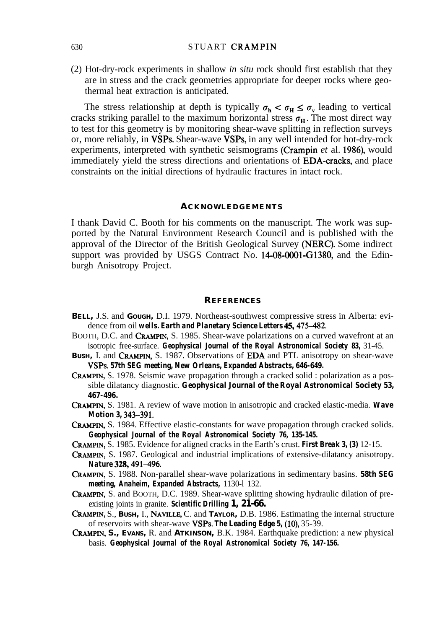(2) Hot-dry-rock experiments in shallow *in situ* rock should first establish that they are in stress and the crack geometries appropriate for deeper rocks where geothermal heat extraction is anticipated.

The stress relationship at depth is typically  $\sigma_h < \sigma_H \leq \sigma_v$  leading to vertical cracks striking parallel to the maximum horizontal stress  $\sigma_{\rm H}$ . The most direct way to test for this geometry is by monitoring shear-wave splitting in reflection surveys or, more reliably, in VSPs. Shear-wave VSPs, in any well intended for hot-dry-rock experiments, interpreted with synthetic seismograms (Crampin *et* al. 1986), would immediately yield the stress directions and orientations of EDA-cracks, and place constraints on the initial directions of hydraulic fractures in intact rock.

#### **ACKNOWLEDGEMENTS**

I thank David C. Booth for his comments on the manuscript. The work was supported by the Natural Environment Research Council and is published with the approval of the Director of the British Geological Survey (NERC). Some indirect support was provided by USGS Contract No. 14-08-OOOl-G1380, and the Edinburgh Anisotropy Project.

#### **REFERENCES**

- **BELL,** J.S. and **GOUGH,** D.I. 1979. Northeast-southwest compressive stress in Alberta: evidence from oil wells. Earth and Planetary Science Letters 45, 475-482.
- BOOTH, D.C. and **CRAMPIN,** S. 1985. Shear-wave polarizations on a curved wavefront at an isotropic free-surface. *Geophysical Journal of the Royal Astronomical Society 83,* 31-45.
- **BUSH,** I. and **CRAMPIN,** S. 1987. Observations of EDA and PTL anisotropy on shear-wave VSPs. *57th SEG meeting, New Orleans, Expanded Abstracts, 646-649.*
- CRAMPIN, S. 1978. Seismic wave propagation through a cracked solid : polarization as a possible dilatancy diagnostic. *Geophysical Journal of the Royal Astronomical Society 53, 467-496.*
- **CRAMPIN,** S. 1981. A review of wave motion in anisotropic and cracked elastic-media. *Wave Motion 3, 343-391.*
- **CRAMPIN,** S. 1984. Effective elastic-constants for wave propagation through cracked solids. *Geophysical Journal of the Royal Astronomical Society 76, 135-145.*
- **CRAMPIN,** S. 1985. Evidence for aligned cracks in the Earth's crust. *First Break 3, (3)* 12-15.
- **CRAMPIN,** S. 1987. Geological and industrial implications of extensive-dilatancy anisotropy. *Nature 328,491-496.*
- **CRAMPIN,** S. 1988. Non-parallel shear-wave polarizations in sedimentary basins. *58th SEG meeting, Anaheim, Expanded Abstracts,* 1130-l 132.
- **CRAMPIN,** S. and BOOTH, D.C. 1989. Shear-wave splitting showing hydraulic dilation of preexisting joints in granite. *Scientific Drilling* **1, 21-66.**
- CRAMPIN, S., **BUSH,** I., **NAVILLE,** C. and **TAYLOR,** D.B. 1986. Estimating the internal structure of reservoirs with shear-wave VSPs. *The Leading Edge 5,* (lo), 35-39.
- **CRAMPIN, S., EVANS,** R. and **ATKINSON,** B.K. 1984. Earthquake prediction: a new physical basis. *Geophysical Journal of the Royal Astronomical Society 76, 147-156.*